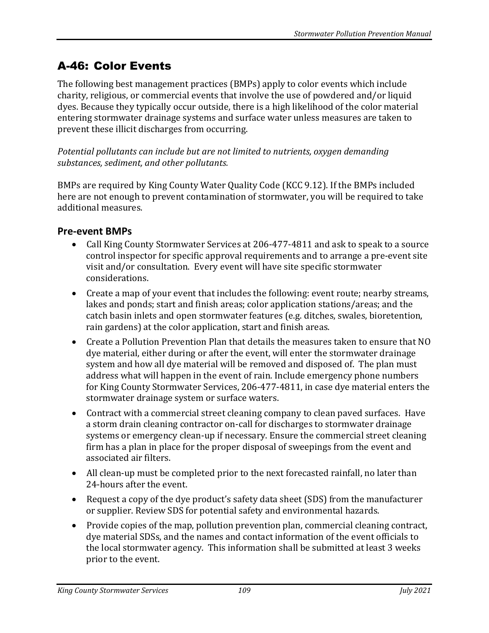# A-46: Color Events

The following best management practices (BMPs) apply to color events which include charity, religious, or commercial events that involve the use of powdered and/or liquid dyes. Because they typically occur outside, there is a high likelihood of the color material entering stormwater drainage systems and surface water unless measures are taken to prevent these illicit discharges from occurring.

*Potential pollutants can include but are not limited to nutrients, oxygen demanding substances, sediment, and other pollutants.* 

BMPs are required by King County Water Quality Code (KCC 9.12). If the BMPs included here are not enough to prevent contamination of stormwater, you will be required to take additional measures.

### **Pre-event BMPs**

- Call King County Stormwater Services at 206-477-4811 and ask to speak to a source control inspector for specific approval requirements and to arrange a pre-event site visit and/or consultation. Every event will have site specific stormwater considerations.
- Create a map of your event that includes the following: event route; nearby streams, lakes and ponds; start and finish areas; color application stations/areas; and the catch basin inlets and open stormwater features (e.g. ditches, swales, bioretention, rain gardens) at the color application, start and finish areas.
- Create a Pollution Prevention Plan that details the measures taken to ensure that NO dye material, either during or after the event, will enter the stormwater drainage system and how all dye material will be removed and disposed of. The plan must address what will happen in the event of rain. Include emergency phone numbers for King County Stormwater Services, 206-477-4811, in case dye material enters the stormwater drainage system or surface waters.
- Contract with a commercial street cleaning company to clean paved surfaces. Have a storm drain cleaning contractor on-call for discharges to stormwater drainage systems or emergency clean-up if necessary. Ensure the commercial street cleaning firm has a plan in place for the proper disposal of sweepings from the event and associated air filters.
- All clean-up must be completed prior to the next forecasted rainfall, no later than 24-hours after the event.
- Request a copy of the dye product's safety data sheet (SDS) from the manufacturer or supplier. Review SDS for potential safety and environmental hazards.
- Provide copies of the map, pollution prevention plan, commercial cleaning contract, dye material SDSs, and the names and contact information of the event officials to the local stormwater agency. This information shall be submitted at least 3 weeks prior to the event.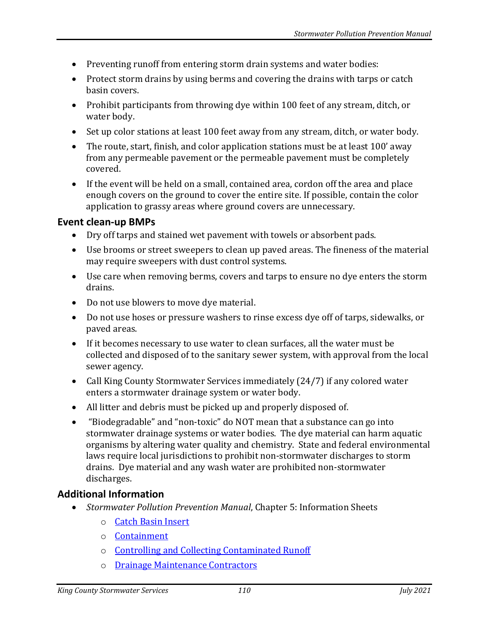- Preventing runoff from entering storm drain systems and water bodies:
- Protect storm drains by using berms and covering the drains with tarps or catch basin covers.
- Prohibit participants from throwing dye within 100 feet of any stream, ditch, or water body.
- Set up color stations at least 100 feet away from any stream, ditch, or water body.
- The route, start, finish, and color application stations must be at least 100' away from any permeable pavement or the permeable pavement must be completely covered.
- If the event will be held on a small, contained area, cordon off the area and place enough covers on the ground to cover the entire site. If possible, contain the color application to grassy areas where ground covers are unnecessary.

#### **Event clean-up BMPs**

- Dry off tarps and stained wet pavement with towels or absorbent pads.
- Use brooms or street sweepers to clean up paved areas. The fineness of the material may require sweepers with dust control systems.
- Use care when removing berms, covers and tarps to ensure no dye enters the storm drains.
- Do not use blowers to move dye material.
- Do not use hoses or pressure washers to rinse excess dye off of tarps, sidewalks, or paved areas.
- If it becomes necessary to use water to clean surfaces, all the water must be collected and disposed of to the sanitary sewer system, with approval from the local sewer agency.
- Call King County Stormwater Services immediately (24/7) if any colored water enters a stormwater drainage system or water body.
- All litter and debris must be picked up and properly disposed of.
- "Biodegradable" and "non-toxic" do NOT mean that a substance can go into stormwater drainage systems or water bodies. The dye material can harm aquatic organisms by altering water quality and chemistry. State and federal environmental laws require local jurisdictions to prohibit non-stormwater discharges to storm drains. Dye material and any wash water are prohibited non-stormwater discharges.

## **Additional Information**

- *Stormwater Pollution Prevention Manual*, Chapter 5: Information Sheets
	- o [Catch Basin Insert](https://your.kingcounty.gov/dnrp/library/water-and-land/stormwater/stormwater-pollution-prevention-manual/catch-basin-inserts-jul21.pdf)
	- o [Containment](https://your.kingcounty.gov/dnrp/library/water-and-land/stormwater/stormwater-pollution-prevention-manual/containment-jul21.pdf)
	- o [Controlling and Collecting Contaminated Runoff](https://your.kingcounty.gov/dnrp/library/water-and-land/stormwater/stormwater-pollution-prevention-manual/controlling-and-collecting-contaminated-runoff-jul21.pdf)
	- o [Drainage Maintenance Contractors](https://your.kingcounty.gov/dnrp/library/water-and-land/stormwater/stormwater-pollution-prevention-manual/drainage-maintenance-contractors-jul21.pdf)